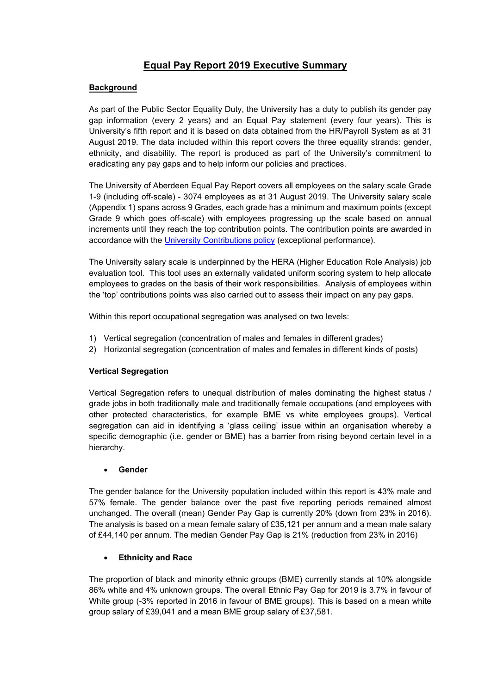# **Equal Pay Report 2019 Executive Summary**

### **Background**

As part of the Public Sector Equality Duty, the University has a duty to publish its gender pay gap information (every 2 years) and an Equal Pay statement (every four years). This is University's fifth report and it is based on data obtained from the HR/Payroll System as at 31 August 2019. The data included within this report covers the three equality strands: gender, ethnicity, and disability. The report is produced as part of the University's commitment to eradicating any pay gaps and to help inform our policies and practices.

The University of Aberdeen Equal Pay Report covers all employees on the salary scale Grade 1-9 (including off-scale) - 3074 employees as at 31 August 2019. The University salary scale (Appendix 1) spans across 9 Grades, each grade has a minimum and maximum points (except Grade 9 which goes off-scale) with employees progressing up the scale based on annual increments until they reach the top contribution points. The contribution points are awarded in accordance with the [University Contributions policy](https://www.abdn.ac.uk/staffnet/working-here/staff-benefits-113.php#contribution-awards) (exceptional performance).

The University salary scale is underpinned by the HERA (Higher Education Role Analysis) job evaluation tool. This tool uses an externally validated uniform scoring system to help allocate employees to grades on the basis of their work responsibilities. Analysis of employees within the 'top' contributions points was also carried out to assess their impact on any pay gaps.

Within this report occupational segregation was analysed on two levels:

- 1) Vertical segregation (concentration of males and females in different grades)
- 2) Horizontal segregation (concentration of males and females in different kinds of posts)

## **Vertical Segregation**

Vertical Segregation refers to unequal distribution of males dominating the highest status / grade jobs in both traditionally male and traditionally female occupations (and employees with other protected characteristics, for example BME vs white employees groups). Vertical segregation can aid in identifying a 'glass ceiling' issue within an organisation whereby a specific demographic (i.e. gender or BME) has a barrier from rising beyond certain level in a hierarchy.

### • **Gender**

The gender balance for the University population included within this report is 43% male and 57% female. The gender balance over the past five reporting periods remained almost unchanged. The overall (mean) Gender Pay Gap is currently 20% (down from 23% in 2016). The analysis is based on a mean female salary of £35,121 per annum and a mean male salary of £44,140 per annum. The median Gender Pay Gap is 21% (reduction from 23% in 2016)

### • **Ethnicity and Race**

The proportion of black and minority ethnic groups (BME) currently stands at 10% alongside 86% white and 4% unknown groups. The overall Ethnic Pay Gap for 2019 is 3.7% in favour of White group (-3% reported in 2016 in favour of BME groups). This is based on a mean white group salary of £39,041 and a mean BME group salary of £37,581.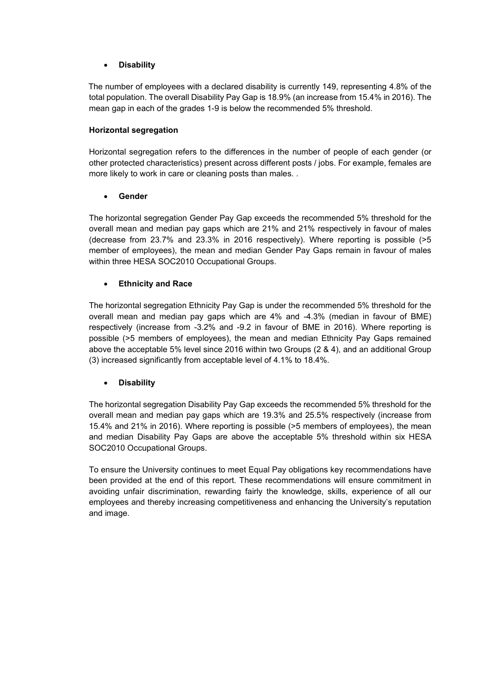### • **Disability**

The number of employees with a declared disability is currently 149, representing 4.8% of the total population. The overall Disability Pay Gap is 18.9% (an increase from 15.4% in 2016). The mean gap in each of the grades 1-9 is below the recommended 5% threshold.

### **Horizontal segregation**

Horizontal segregation refers to the differences in the number of people of each gender (or other protected characteristics) present across different posts / jobs. For example, females are more likely to work in care or cleaning posts than males. .

### • **Gender**

The horizontal segregation Gender Pay Gap exceeds the recommended 5% threshold for the overall mean and median pay gaps which are 21% and 21% respectively in favour of males (decrease from 23.7% and 23.3% in 2016 respectively). Where reporting is possible (>5 member of employees), the mean and median Gender Pay Gaps remain in favour of males within three HESA SOC2010 Occupational Groups.

### • **Ethnicity and Race**

The horizontal segregation Ethnicity Pay Gap is under the recommended 5% threshold for the overall mean and median pay gaps which are 4% and -4.3% (median in favour of BME) respectively (increase from -3.2% and -9.2 in favour of BME in 2016). Where reporting is possible (>5 members of employees), the mean and median Ethnicity Pay Gaps remained above the acceptable 5% level since 2016 within two Groups (2 & 4), and an additional Group (3) increased significantly from acceptable level of 4.1% to 18.4%.

### • **Disability**

The horizontal segregation Disability Pay Gap exceeds the recommended 5% threshold for the overall mean and median pay gaps which are 19.3% and 25.5% respectively (increase from 15.4% and 21% in 2016). Where reporting is possible (>5 members of employees), the mean and median Disability Pay Gaps are above the acceptable 5% threshold within six HESA SOC2010 Occupational Groups.

To ensure the University continues to meet Equal Pay obligations key recommendations have been provided at the end of this report. These recommendations will ensure commitment in avoiding unfair discrimination, rewarding fairly the knowledge, skills, experience of all our employees and thereby increasing competitiveness and enhancing the University's reputation and image.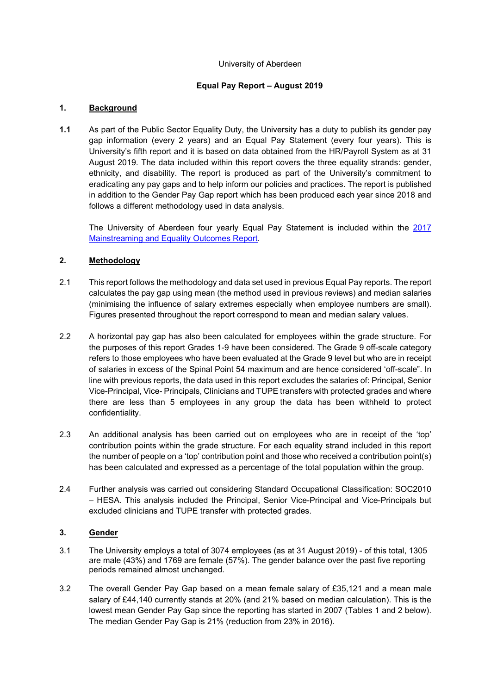#### University of Aberdeen

### **Equal Pay Report – August 2019**

### **1. Background**

**1.1** As part of the Public Sector Equality Duty, the University has a duty to publish its gender pay gap information (every 2 years) and an Equal Pay Statement (every four years). This is University's fifth report and it is based on data obtained from the HR/Payroll System as at 31 August 2019. The data included within this report covers the three equality strands: gender, ethnicity, and disability. The report is produced as part of the University's commitment to eradicating any pay gaps and to help inform our policies and practices. The report is published in addition to the Gender Pay Gap report which has been produced each year since 2018 and follows a different methodology used in data analysis.

The University of Aberdeen four yearly Equal Pay Statement is included within the [2017](https://www.abdn.ac.uk/staffnet/documents/Final%20Mainstreaming%20Report%2028%20April%20%202017.pdf)  [Mainstreaming and Equality Outcomes Report.](https://www.abdn.ac.uk/staffnet/documents/Final%20Mainstreaming%20Report%2028%20April%20%202017.pdf)

### **2. Methodology**

- 2.1 This report follows the methodology and data set used in previous Equal Pay reports. The report calculates the pay gap using mean (the method used in previous reviews) and median salaries (minimising the influence of salary extremes especially when employee numbers are small). Figures presented throughout the report correspond to mean and median salary values.
- 2.2 A horizontal pay gap has also been calculated for employees within the grade structure. For the purposes of this report Grades 1-9 have been considered. The Grade 9 off-scale category refers to those employees who have been evaluated at the Grade 9 level but who are in receipt of salaries in excess of the Spinal Point 54 maximum and are hence considered 'off-scale". In line with previous reports, the data used in this report excludes the salaries of: Principal, Senior Vice-Principal, Vice- Principals, Clinicians and TUPE transfers with protected grades and where there are less than 5 employees in any group the data has been withheld to protect confidentiality.
- 2.3 An additional analysis has been carried out on employees who are in receipt of the 'top' contribution points within the grade structure. For each equality strand included in this report the number of people on a 'top' contribution point and those who received a contribution point(s) has been calculated and expressed as a percentage of the total population within the group.
- 2.4 Further analysis was carried out considering Standard Occupational Classification: SOC2010 – HESA. This analysis included the Principal, Senior Vice-Principal and Vice-Principals but excluded clinicians and TUPE transfer with protected grades.

## **3. Gender**

- 3.1 The University employs a total of 3074 employees (as at 31 August 2019) of this total, 1305 are male (43%) and 1769 are female (57%). The gender balance over the past five reporting periods remained almost unchanged.
- 3.2 The overall Gender Pay Gap based on a mean female salary of £35,121 and a mean male salary of £44,140 currently stands at 20% (and 21% based on median calculation). This is the lowest mean Gender Pay Gap since the reporting has started in 2007 (Tables 1 and 2 below). The median Gender Pay Gap is 21% (reduction from 23% in 2016).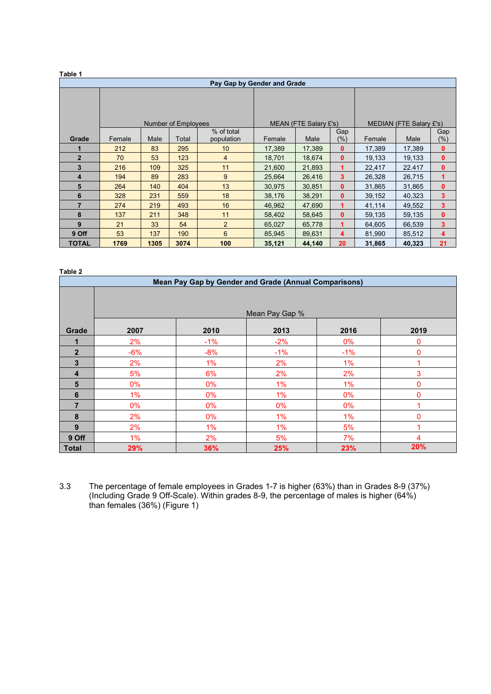|                |        |      |                     | Pay Gap by Gender and Grade |        |                       |              |                         |        |              |  |
|----------------|--------|------|---------------------|-----------------------------|--------|-----------------------|--------------|-------------------------|--------|--------------|--|
|                |        |      |                     |                             |        |                       |              |                         |        |              |  |
|                |        |      |                     |                             |        |                       |              |                         |        |              |  |
|                |        |      | Number of Employees |                             |        | MEAN (FTE Salary £'s) |              | MEDIAN (FTE Salary £'s) |        |              |  |
|                |        |      |                     | % of total                  |        |                       | Gap          |                         |        | Gap          |  |
| Grade          | Female | Male | Total               | population                  | Female | Male                  | $(\%)$       | Female                  | Male   | (%)          |  |
|                | 212    | 83   | 295                 | 10                          | 17,389 | 17,389                | $\bf{0}$     | 17,389                  | 17,389 | 0            |  |
| $\overline{2}$ | 70     | 53   | 123                 | 4                           | 18,701 | 18,674                | $\mathbf{0}$ | 19,133                  | 19,133 | 0            |  |
| 3              | 216    | 109  | 325                 | 11                          | 21,600 | 21,893                | 1            | 22,417                  | 22.417 | $\mathbf{0}$ |  |
| 4              | 194    | 89   | 283                 | 9                           | 25,664 | 26,416                | 3            | 26,328                  | 26,715 | 1            |  |
| 5              | 264    | 140  | 404                 | 13                          | 30,975 | 30,851                | $\mathbf{0}$ | 31,865                  | 31,865 | $\mathbf{0}$ |  |
| 6              | 328    | 231  | 559                 | 18                          | 38,176 | 38,291                | $\mathbf{0}$ | 39,152                  | 40,323 | 3            |  |
| $\overline{7}$ | 274    | 219  | 493                 | 16                          | 46,962 | 47,690                | 1            | 41,114                  | 49,552 | 3            |  |
| 8              | 137    | 211  | 348                 | 11                          | 58,402 | 58,645                | $\mathbf{0}$ | 59,135                  | 59,135 | $\mathbf{0}$ |  |
| 9              | 21     | 33   | 54                  | $\overline{2}$              | 65,027 | 65,778                | 1            | 64,605                  | 66,539 | 3            |  |
| 9 Off          | 53     | 137  | 190                 | 6                           | 85,945 | 89,631                | 4            | 81,990                  | 85,512 | 4            |  |
| <b>TOTAL</b>   | 1769   | 1305 | 3074                | 100                         | 35,121 | 44,140                | 20           | 31,865                  | 40,323 | 21           |  |

**Table 2**

|              | Mean Pay Gap by Gender and Grade (Annual Comparisons) |       |                |       |      |  |  |  |  |  |  |  |  |
|--------------|-------------------------------------------------------|-------|----------------|-------|------|--|--|--|--|--|--|--|--|
|              |                                                       |       |                |       |      |  |  |  |  |  |  |  |  |
|              |                                                       |       | Mean Pay Gap % |       |      |  |  |  |  |  |  |  |  |
| Grade        | 2007                                                  | 2010  | 2013           | 2016  | 2019 |  |  |  |  |  |  |  |  |
|              | 2%                                                    | $-1%$ | $-2%$          | 0%    | 0    |  |  |  |  |  |  |  |  |
| $\mathbf{2}$ | $-6%$                                                 | $-8%$ | $-1%$          | $-1%$ | 0    |  |  |  |  |  |  |  |  |
| 3            | 2%                                                    | 1%    | 2%             | 1%    |      |  |  |  |  |  |  |  |  |
| 4            | 5%                                                    | 6%    | 2%             | 2%    | 3    |  |  |  |  |  |  |  |  |
| 5            | $0\%$                                                 | $0\%$ | $1\%$          | $1\%$ | 0    |  |  |  |  |  |  |  |  |
| 6            | 1%                                                    | 0%    | 1%             | $0\%$ | O    |  |  |  |  |  |  |  |  |
| 7            | $0\%$                                                 | $0\%$ | $0\%$          | $0\%$ |      |  |  |  |  |  |  |  |  |
| 8            | 2%                                                    | 0%    | 1%             | 1%    | 0    |  |  |  |  |  |  |  |  |
| 9            | 2%                                                    | 1%    | 1%             | 5%    |      |  |  |  |  |  |  |  |  |
| 9 Off        | $1\%$                                                 | 2%    | 5%             | 7%    | 4    |  |  |  |  |  |  |  |  |
| <b>Total</b> | 29%                                                   | 36%   | 25%            | 23%   | 20%  |  |  |  |  |  |  |  |  |

3.3 The percentage of female employees in Grades 1-7 is higher (63%) than in Grades 8-9 (37%) (Including Grade 9 Off-Scale). Within grades 8-9, the percentage of males is higher (64%) than females (36%) (Figure 1)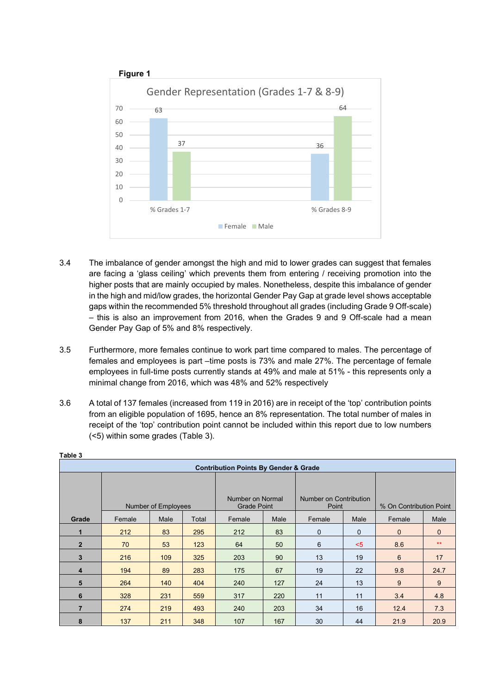

- 3.4 The imbalance of gender amongst the high and mid to lower grades can suggest that females are facing a 'glass ceiling' which prevents them from entering / receiving promotion into the higher posts that are mainly occupied by males. Nonetheless, despite this imbalance of gender in the high and mid/low grades, the horizontal Gender Pay Gap at grade level shows acceptable gaps within the recommended 5% threshold throughout all grades (including Grade 9 Off-scale) – this is also an improvement from 2016, when the Grades 9 and 9 Off-scale had a mean Gender Pay Gap of 5% and 8% respectively.
- 3.5 Furthermore, more females continue to work part time compared to males. The percentage of females and employees is part –time posts is 73% and male 27%. The percentage of female employees in full-time posts currently stands at 49% and male at 51% - this represents only a minimal change from 2016, which was 48% and 52% respectively
- 3.6 A total of 137 females (increased from 119 in 2016) are in receipt of the 'top' contribution points from an eligible population of 1695, hence an 8% representation. The total number of males in receipt of the 'top' contribution point cannot be included within this report due to low numbers (<5) within some grades (Table 3).

|                |        |                     |       | <b>Contribution Points By Gender &amp; Grade</b> |      |                                 |              |                         |          |  |
|----------------|--------|---------------------|-------|--------------------------------------------------|------|---------------------------------|--------------|-------------------------|----------|--|
|                |        | Number of Employees |       | Number on Normal<br><b>Grade Point</b>           |      | Number on Contribution<br>Point |              | % On Contribution Point |          |  |
| Grade          | Female | Male                | Total | Female                                           | Male | Female                          | Male         | Female                  | Male     |  |
| 1              | 212    | 83                  | 295   | 212                                              | 83   | $\mathbf 0$                     | $\mathbf{0}$ | $\mathbf{0}$            | $\Omega$ |  |
| $\overline{2}$ | 70     | 53                  | 123   | 64                                               | 50   | 6                               | $5$          | 8.6                     | $**$     |  |
| 3              | 216    | 109                 | 325   | 203                                              | 90   | 13                              | 19           | 6                       | 17       |  |
| 4              | 194    | 89                  | 283   | 175                                              | 67   | 19                              | 22           | 9.8                     | 24.7     |  |
| 5              | 264    | 140                 | 404   | 240                                              | 127  | 24                              | 13           | 9                       | 9        |  |
| 6              | 328    | 231                 | 559   | 317                                              | 220  | 11                              | 11           | 3.4                     | 4.8      |  |
| $\overline{7}$ | 274    | 219                 | 493   | 240                                              | 203  | 34                              | 16           | 12.4                    | 7.3      |  |
| 8              | 137    | 211                 | 348   | 107                                              | 167  | 30                              | 44           | 21.9                    | 20.9     |  |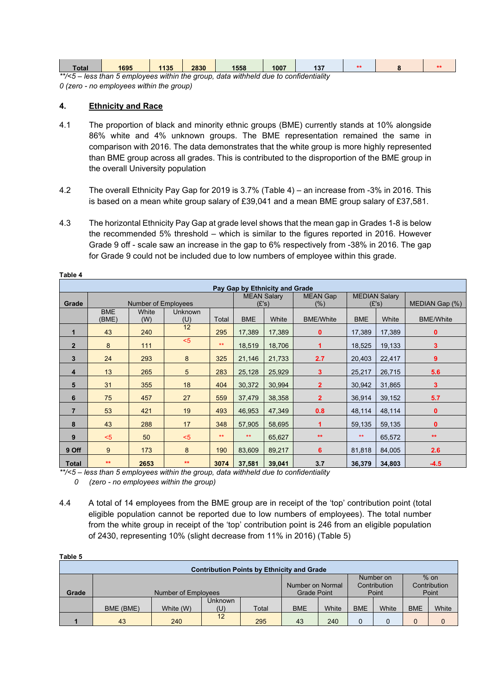| `otal  | 1695                                                                        | 1135 | 2830 | 1558 | 1007 | $\mathbf{A}$ |  |  |
|--------|-----------------------------------------------------------------------------|------|------|------|------|--------------|--|--|
| **/_ 5 | long than 5 amplesses within the aroun date withhold due to confidentiality |      |      |      |      |              |  |  |

*\*\*/<5 – less than 5 employees within the group, data withheld due to confidentiality 0 (zero - no employees within the group)* 

### **4. Ethnicity and Race**

- 4.1 The proportion of black and minority ethnic groups (BME) currently stands at 10% alongside 86% white and 4% unknown groups. The BME representation remained the same in comparison with 2016. The data demonstrates that the white group is more highly represented than BME group across all grades. This is contributed to the disproportion of the BME group in the overall University population
- 4.2 The overall Ethnicity Pay Gap for 2019 is 3.7% (Table 4) an increase from -3% in 2016. This is based on a mean white group salary of £39,041 and a mean BME group salary of £37,581.
- 4.3 The horizontal Ethnicity Pay Gap at grade level shows that the mean gap in Grades 1-8 is below the recommended 5% threshold – which is similar to the figures reported in 2016. However Grade 9 off - scale saw an increase in the gap to 6% respectively from -38% in 2016. The gap for Grade 9 could not be included due to low numbers of employee within this grade.

|                | Pay Gap by Ethnicity and Grade |                     |                       |       |                             |        |                         |            |                               |                  |  |  |  |  |
|----------------|--------------------------------|---------------------|-----------------------|-------|-----------------------------|--------|-------------------------|------------|-------------------------------|------------------|--|--|--|--|
| Grade          |                                | Number of Employees |                       |       | <b>MEAN Salary</b><br>(E's) |        | <b>MEAN Gap</b><br>(% ) |            | <b>MEDIAN Salary</b><br>(E's) | MEDIAN Gap (%)   |  |  |  |  |
|                | <b>BME</b><br>(BME)            | White<br>(W)        | <b>Unknown</b><br>(U) | Total | <b>BME</b>                  | White  | <b>BME/White</b>        | <b>BME</b> | White                         | <b>BME/White</b> |  |  |  |  |
| 1              | 43                             | 240                 | 12                    | 295   | 17,389                      | 17,389 | $\mathbf{0}$            | 17,389     | 17,389                        | 0                |  |  |  |  |
| $\overline{2}$ | 8                              | 111                 | $5$                   | $**$  | 18,519                      | 18,706 | 1                       | 18,525     | 19,133                        | 3                |  |  |  |  |
| 3              | 24                             | 293                 | 8                     | 325   | 21,146                      | 21,733 | 2.7                     | 20,403     | 22,417                        | 9                |  |  |  |  |
| 4              | 13                             | 265                 | 5                     | 283   | 25,128                      | 25,929 | 3                       | 25,217     | 26,715                        | 5.6              |  |  |  |  |
| 5              | 31                             | 355                 | 18                    | 404   | 30,372                      | 30,994 | $\overline{2}$          | 30,942     | 31,865                        | 3                |  |  |  |  |
| 6              | 75                             | 457                 | 27                    | 559   | 37,479                      | 38,358 | $\overline{2}$          | 36,914     | 39,152                        | 5.7              |  |  |  |  |
| $\overline{7}$ | 53                             | 421                 | 19                    | 493   | 46,953                      | 47,349 | 0.8                     | 48,114     | 48,114                        | $\mathbf{0}$     |  |  |  |  |
| 8              | 43                             | 288                 | 17                    | 348   | 57,905                      | 58,695 |                         | 59,135     | 59,135                        | 0                |  |  |  |  |
| 9              | $5$                            | 50                  | $5$                   | $**$  | $**$                        | 65,627 | $**$                    | $**$       | 65,572                        | $**$             |  |  |  |  |
| 9 Off          | 9                              | 173                 | 8                     | 190   | 83,609                      | 89,217 | 6                       | 81,818     | 84,005                        | 2.6              |  |  |  |  |
| <b>Total</b>   | $**$                           | 2653                | $**$                  | 3074  | 37,581                      | 39,041 | 3.7                     | 36,379     | 34,803                        | $-4.5$           |  |  |  |  |

**Table 4**

**Table 5**

*\*\*/<5 – less than 5 employees within the group, data withheld due to confidentiality* 

*0 (zero - no employees within the group)* 

4.4 A total of 14 employees from the BME group are in receipt of the 'top' contribution point (total eligible population cannot be reported due to low numbers of employees). The total number from the white group in receipt of the 'top' contribution point is 246 from an eligible population of 2430, representing 10% (slight decrease from 11% in 2016) (Table 5)

|       | <b>Contribution Points by Ethnicity and Grade</b> |                     |                       |                  |            |       |                           |                        |            |       |  |  |  |  |
|-------|---------------------------------------------------|---------------------|-----------------------|------------------|------------|-------|---------------------------|------------------------|------------|-------|--|--|--|--|
|       |                                                   |                     |                       | Number on Normal |            |       | Number on<br>Contribution | $%$ on<br>Contribution |            |       |  |  |  |  |
| Grade |                                                   | Number of Employees | Grade Point           |                  | Point      |       |                           | Point                  |            |       |  |  |  |  |
|       | BME (BME)                                         | White (W)           | <b>Unknown</b><br>(U) | Total            | <b>BME</b> | White | <b>BME</b>                | White                  | <b>BME</b> | White |  |  |  |  |
|       | 43                                                | 240                 | 12                    | 295              | 43         | 240   | $\Omega$                  |                        | $\Omega$   |       |  |  |  |  |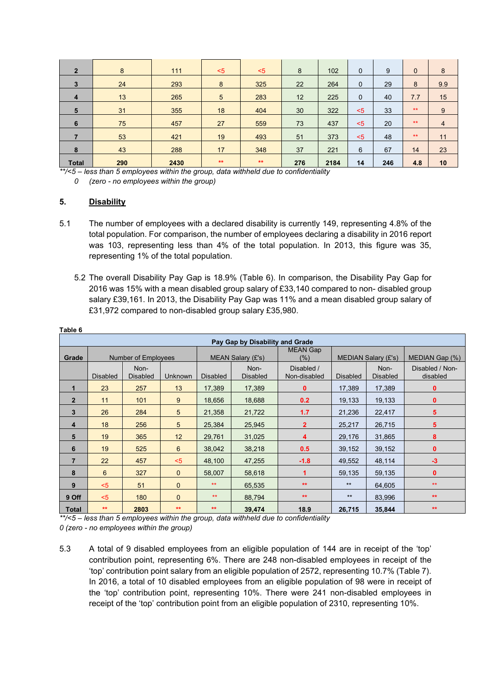| $\overline{2}$ | 8   | 111  | $5$  | $<$ 5 | 8   | 102  | $\mathbf{0}$ | 9   | $\mathbf{0}$ | 8   |
|----------------|-----|------|------|-------|-----|------|--------------|-----|--------------|-----|
| 3              | 24  | 293  | 8    | 325   | 22  | 264  | $\mathbf{0}$ | 29  | 8            | 9.9 |
| $\overline{4}$ | 13  | 265  | 5    | 283   | 12  | 225  | $\mathbf 0$  | 40  | 7.7          | 15  |
| 5              | 31  | 355  | 18   | 404   | 30  | 322  | $5$          | 33  | $**$         | 9   |
| 6              | 75  | 457  | 27   | 559   | 73  | 437  | $5$          | 20  | $**$         | 4   |
|                | 53  | 421  | 19   | 493   | 51  | 373  | $5$          | 48  | $**$         | 11  |
| 8              | 43  | 288  | 17   | 348   | 37  | 221  | 6            | 67  | 14           | 23  |
| <b>Total</b>   | 290 | 2430 | $**$ | $**$  | 276 | 2184 | 14           | 246 | 4.8          | 10  |

*\*\*/<5 – less than 5 employees within the group, data withheld due to confidentiality* 

*0 (zero - no employees within the group)* 

### **5. Disability**

- 5.1 The number of employees with a declared disability is currently 149, representing 4.8% of the total population. For comparison, the number of employees declaring a disability in 2016 report was 103, representing less than 4% of the total population. In 2013, this figure was 35, representing 1% of the total population.
	- 5.2 The overall Disability Pay Gap is 18.9% (Table 6). In comparison, the Disability Pay Gap for 2016 was 15% with a mean disabled group salary of £33,140 compared to non- disabled group salary £39,161. In 2013, the Disability Pay Gap was 11% and a mean disabled group salary of £31,972 compared to non-disabled group salary £35,980.

|                |                 |                         |                |                 | Pay Gap by Disability and Grade |                            |                 |                         |                             |
|----------------|-----------------|-------------------------|----------------|-----------------|---------------------------------|----------------------------|-----------------|-------------------------|-----------------------------|
| Grade          |                 | Number of Employees     |                |                 | MEAN Salary (£'s)               | <b>MEAN Gap</b><br>(% )    |                 | MEDIAN Salary (£'s)     | MEDIAN Gap (%)              |
|                | <b>Disabled</b> | Non-<br><b>Disabled</b> | <b>Unknown</b> | <b>Disabled</b> | Non-<br><b>Disabled</b>         | Disabled /<br>Non-disabled | <b>Disabled</b> | Non-<br><b>Disabled</b> | Disabled / Non-<br>disabled |
| 1              | 23              | 257                     | 13             | 17,389          | 17,389                          | $\bf{0}$                   | 17,389          | 17,389                  | 0                           |
| $\overline{2}$ | 11              | 101                     | 9              | 18,656          | 18,688                          | 0.2                        | 19,133          | 19,133                  | 0                           |
| 3              | 26              | 284                     | 5              | 21,358          | 21,722                          | 1.7                        | 21,236          | 22,417                  | 5                           |
| 4              | 18              | 256                     | 5              | 25,384          | 25,945                          | $\overline{2}$             | 25,217          | 26,715                  | 5                           |
| 5              | 19              | 365                     | 12             | 29,761          | 31,025                          | 4                          | 29,176          | 31,865                  | 8                           |
| 6              | 19              | 525                     | $6\phantom{1}$ | 38,042          | 38,218                          | 0.5                        | 39,152          | 39,152                  | 0                           |
| $\overline{7}$ | 22              | 457                     | $5$            | 48,100          | 47,255                          | $-1.8$                     | 49,552          | 48,114                  | $-3$                        |
| 8              | 6               | 327                     | $\mathbf{0}$   | 58.007          | 58,618                          | 1                          | 59,135          | 59,135                  | $\mathbf{0}$                |
| 9              | $5$             | 51                      | $\mathbf{0}$   | $**$            | 65.535                          | $**$                       | $**$            | 64,605                  | $**$                        |
| 9 Off          | $5$             | 180                     | $\mathbf{0}$   | $**$            | 88,794                          | $**$                       | $***$           | 83,996                  | $**$                        |
| Total          | $**$            | 2803                    | $**$           | $**$            | 39,474                          | 18.9                       | 26,715          | 35,844                  | $**$                        |

**Table 6**

*\*\*/<5 – less than 5 employees within the group, data withheld due to confidentiality* 

*0 (zero - no employees within the group)* 

5.3 A total of 9 disabled employees from an eligible population of 144 are in receipt of the 'top' contribution point, representing 6%. There are 248 non-disabled employees in receipt of the 'top' contribution point salary from an eligible population of 2572, representing 10.7% (Table 7). In 2016, a total of 10 disabled employees from an eligible population of 98 were in receipt of the 'top' contribution point, representing 10%. There were 241 non-disabled employees in receipt of the 'top' contribution point from an eligible population of 2310, representing 10%.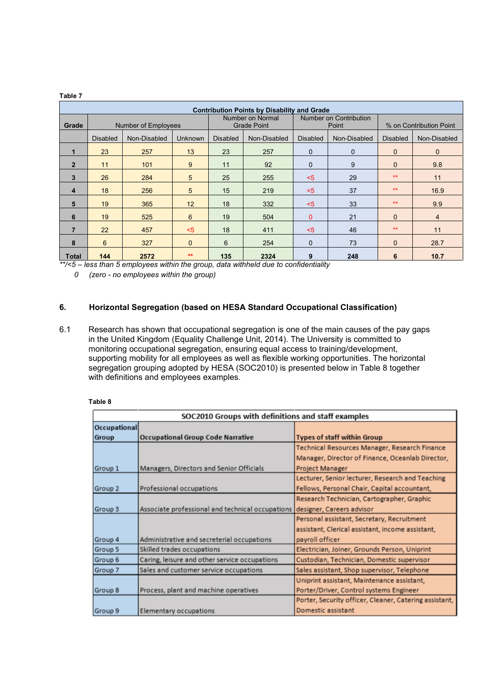|                | <b>Contribution Points by Disability and Grade</b> |                         |                |                          |                                        |                 |                                        |                 |                         |  |  |  |  |  |
|----------------|----------------------------------------------------|-------------------------|----------------|--------------------------|----------------------------------------|-----------------|----------------------------------------|-----------------|-------------------------|--|--|--|--|--|
| Grade          |                                                    | Number of Employees     |                |                          | Number on Normal<br><b>Grade Point</b> |                 | <b>Number on Contribution</b><br>Point |                 | % on Contribution Point |  |  |  |  |  |
|                | <b>Disabled</b>                                    | Non-Disabled<br>Unknown |                | <b>Disabled</b>          | Non-Disabled                           | <b>Disabled</b> | Non-Disabled                           | <b>Disabled</b> | Non-Disabled            |  |  |  |  |  |
|                | 23                                                 | 257                     | 13             | 23                       | 257                                    | $\mathbf 0$     | $\mathbf 0$                            | $\mathbf{0}$    | $\mathbf{0}$            |  |  |  |  |  |
| $\overline{2}$ | 11                                                 | 101                     | 9              | 11                       | 92                                     | $\mathbf 0$     | 9                                      | $\mathbf{0}$    | 9.8                     |  |  |  |  |  |
| $\mathbf{3}$   | 26                                                 | 284                     | 5              | 25                       | 255                                    | $5$             | 29                                     | $**$            | 11                      |  |  |  |  |  |
| 4              | 18                                                 | 256                     | 5              | 15                       | 219                                    | $5$             | 37                                     | $**$            | 16.9                    |  |  |  |  |  |
| 5              | 19                                                 | 365                     | 12             | 18                       | 332                                    | $5$             | 33                                     | $**$            | 9.9                     |  |  |  |  |  |
| 6              | 19                                                 | 525                     | $6\phantom{1}$ | 19                       | 504                                    | $\Omega$        | 21                                     | $\mathbf{0}$    | $\overline{4}$          |  |  |  |  |  |
| $\overline{7}$ | 22                                                 | 457                     | $5$            | 18                       | 411                                    | $5$             | 46                                     | $**$            | 11                      |  |  |  |  |  |
| 8              | 6                                                  | 327                     | $\mathbf{0}$   | 6<br>$\mathbf{0}$<br>254 |                                        | 73              | $\Omega$                               | 28.7            |                         |  |  |  |  |  |
| <b>Total</b>   | 144                                                | 2572                    | $**$           | 135                      | 2324                                   | 9               | 248                                    | 6               | 10.7                    |  |  |  |  |  |

*\*\*/<5 – less than 5 employees within the group, data withheld due to confidentiality* 

*0 (zero - no employees within the group)* 

### **6. Horizontal Segregation (based on HESA Standard Occupational Classification)**

6.1 Research has shown that occupational segregation is one of the main causes of the pay gaps in the United Kingdom (Equality Challenge Unit, 2014). The University is committed to monitoring occupational segregation, ensuring equal access to training/development, supporting mobility for all employees as well as flexible working opportunities. The horizontal segregation grouping adopted by HESA (SOC2010) is presented below in Table 8 together with definitions and employees examples.

|              | SOC2010 Groups with definitions and staff examples |                                                        |
|--------------|----------------------------------------------------|--------------------------------------------------------|
| Occupational |                                                    |                                                        |
| Group        | Occupational Group Code Narrative                  | Types of staff within Group                            |
|              |                                                    | Technical Resources Manager, Research Finance          |
|              |                                                    | Manager, Director of Finance, Oceanlab Director,       |
| Group 1      | Managers, Directors and Senior Officials           | Project Manager                                        |
|              |                                                    | Lecturer, Senior lecturer, Research and Teaching       |
| Group 2      | Professional occupations                           | Fellows, Personal Chair, Capital accountant,           |
|              |                                                    | Research Technician, Cartographer, Graphic             |
| Group 3      | Associate professional and technical occupations   | designer, Careers advisor                              |
|              |                                                    | Personal assistant, Secretary, Recruitment             |
|              |                                                    | assistant, Clerical assistant, income assistant,       |
| Group 4      | Administrative and secreterial occupations         | payroll officer                                        |
| Group 5      | Skilled trades occupations                         | Electrician, Joiner, Grounds Person, Uniprint          |
| Group 6      | Caring, leisure and other service occupations      | Custodian, Technician, Domestic supervisor             |
| Group 7      | Sales and customer service occupations             | Sales assistant, Shop supervisor, Telephone            |
|              |                                                    | Uniprint assistant, Maintenance assistant,             |
| Group 8      | Process, plant and machine operatives              | Porter/Driver, Control systems Engineer                |
|              |                                                    | Porter, Security officer, Cleaner, Catering assistant, |
| Group 9      | Elementary occupations                             | Domestic assistant                                     |

#### **Table 8**

**Table 7**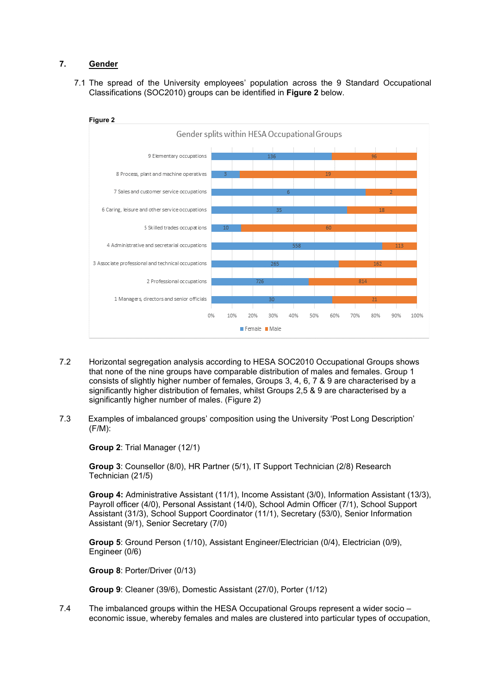### **7. Gender**

7.1 The spread of the University employees' population across the 9 Standard Occupational Classifications (SOC2010) groups can be identified in **Figure 2** below.



- 7.2 Horizontal segregation analysis according to HESA SOC2010 Occupational Groups shows that none of the nine groups have comparable distribution of males and females. Group 1 consists of slightly higher number of females, Groups 3, 4, 6, 7 & 9 are characterised by a significantly higher distribution of females, whilst Groups 2,5 & 9 are characterised by a significantly higher number of males. (Figure 2)
- 7.3 Examples of imbalanced groups' composition using the University 'Post Long Description' (F/M):

**Group 2**: Trial Manager (12/1)

**Group 3**: Counsellor (8/0), HR Partner (5/1), IT Support Technician (2/8) Research Technician (21/5)

**Group 4:** Administrative Assistant (11/1), Income Assistant (3/0), Information Assistant (13/3), Payroll officer (4/0), Personal Assistant (14/0), School Admin Officer (7/1), School Support Assistant (31/3), School Support Coordinator (11/1), Secretary (53/0), Senior Information Assistant (9/1), Senior Secretary (7/0)

**Group 5**: Ground Person (1/10), Assistant Engineer/Electrician (0/4), Electrician (0/9), Engineer (0/6)

**Group 8**: Porter/Driver (0/13)

**Group 9**: Cleaner (39/6), Domestic Assistant (27/0), Porter (1/12)

7.4 The imbalanced groups within the HESA Occupational Groups represent a wider socio – economic issue, whereby females and males are clustered into particular types of occupation,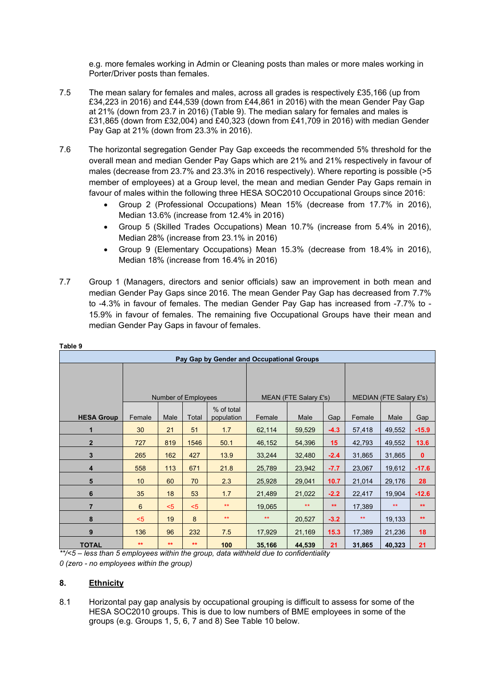e.g. more females working in Admin or Cleaning posts than males or more males working in Porter/Driver posts than females.

- 7.5 The mean salary for females and males, across all grades is respectively £35,166 (up from £34,223 in 2016) and £44,539 (down from £44,861 in 2016) with the mean Gender Pay Gap at 21% (down from 23.7 in 2016) (Table 9). The median salary for females and males is £31,865 (down from £32,004) and £40,323 (down from £41,709 in 2016) with median Gender Pay Gap at 21% (down from 23.3% in 2016).
- 7.6 The horizontal segregation Gender Pay Gap exceeds the recommended 5% threshold for the overall mean and median Gender Pay Gaps which are 21% and 21% respectively in favour of males (decrease from 23.7% and 23.3% in 2016 respectively). Where reporting is possible (>5 member of employees) at a Group level, the mean and median Gender Pay Gaps remain in favour of males within the following three HESA SOC2010 Occupational Groups since 2016:
	- Group 2 (Professional Occupations) Mean 15% (decrease from 17.7% in 2016), Median 13.6% (increase from 12.4% in 2016)
	- Group 5 (Skilled Trades Occupations) Mean 10.7% (increase from 5.4% in 2016), Median 28% (increase from 23.1% in 2016)
	- Group 9 (Elementary Occupations) Mean 15.3% (decrease from 18.4% in 2016), Median 18% (increase from 16.4% in 2016)
- 7.7 Group 1 (Managers, directors and senior officials) saw an improvement in both mean and median Gender Pay Gaps since 2016. The mean Gender Pay Gap has decreased from 7.7% to -4.3% in favour of females. The median Gender Pay Gap has increased from -7.7% to - 15.9% in favour of females. The remaining five Occupational Groups have their mean and median Gender Pay Gaps in favour of females.

|                   |        |                     |       |                          | Pay Gap by Gender and Occupational Groups |        |        |              |                                |         |
|-------------------|--------|---------------------|-------|--------------------------|-------------------------------------------|--------|--------|--------------|--------------------------------|---------|
|                   |        |                     |       |                          |                                           |        |        |              |                                |         |
|                   |        | Number of Employees |       |                          | MEAN (FTE Salary £'s)                     |        |        |              | <b>MEDIAN (FTE Salary £'s)</b> |         |
| <b>HESA Group</b> | Female | Male                | Total | % of total<br>population | Female                                    | Male   | Gap    | Female       | Male                           | Gap     |
| 1                 | 30     | 21                  | 51    | 1.7                      | 62,114                                    | 59,529 | $-4.3$ | 57,418       | 49,552                         | $-15.9$ |
| $\overline{2}$    | 727    | 819                 | 1546  | 50.1                     | 46,152                                    | 54,396 | 15     | 42,793       | 49,552                         | 13.6    |
| 3                 | 265    | 162                 | 427   | 13.9                     | 33,244                                    | 32,480 | $-2.4$ | 31,865       | 31,865                         | 0       |
| $\overline{4}$    | 558    | 113                 | 671   | 21.8                     | 25,789                                    | 23,942 | $-7.7$ | 23,067       | 19,612                         | $-17.6$ |
| 5                 | 10     | 60                  | 70    | 2.3                      | 25,928                                    | 29,041 | 10.7   | 21,014       | 29,176                         | 28      |
| $6\phantom{1}6$   | 35     | 18                  | 53    | 1.7                      | 21,489                                    | 21,022 | $-2.2$ | 22,417       | 19,904                         | $-12.6$ |
| $\overline{7}$    | 6      | $5$                 | $5$   | $**$                     | 19,065                                    | $**$   | $**$   | 17,389       | $**$                           | $**$    |
| 8                 | $5$    | 19                  | 8     | $\star\star$             | $**$                                      | 20,527 | $-3.2$ | $\star\star$ | 19,133                         | $**$    |
| 9                 | 136    | 96                  | 232   | 7.5                      | 17,929                                    | 21,169 | 15.3   | 17,389       | 21,236                         | 18      |
| <b>TOTAL</b>      | $***$  | $**$                | $**$  | 100                      | 35,166                                    | 44,539 | 21     | 31,865       | 40,323                         | 21      |

**Table 9**

*\*\*/<5 – less than 5 employees within the group, data withheld due to confidentiality 0 (zero - no employees within the group)* 

### **8. Ethnicity**

8.1 Horizontal pay gap analysis by occupational grouping is difficult to assess for some of the HESA SOC2010 groups. This is due to low numbers of BME employees in some of the groups (e.g. Groups 1, 5, 6, 7 and 8) See Table 10 below.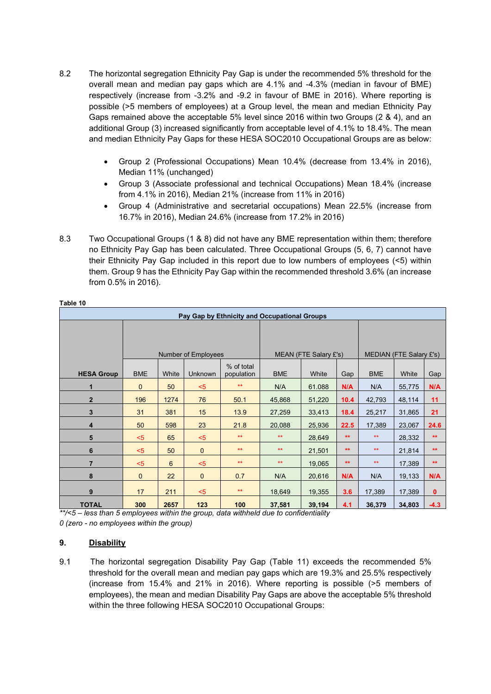- 8.2 The horizontal segregation Ethnicity Pay Gap is under the recommended 5% threshold for the overall mean and median pay gaps which are 4.1% and -4.3% (median in favour of BME) respectively (increase from -3.2% and -9.2 in favour of BME in 2016). Where reporting is possible (>5 members of employees) at a Group level, the mean and median Ethnicity Pay Gaps remained above the acceptable 5% level since 2016 within two Groups (2 & 4), and an additional Group (3) increased significantly from acceptable level of 4.1% to 18.4%. The mean and median Ethnicity Pay Gaps for these HESA SOC2010 Occupational Groups are as below:
	- Group 2 (Professional Occupations) Mean 10.4% (decrease from 13.4% in 2016), Median 11% (unchanged)
	- Group 3 (Associate professional and technical Occupations) Mean 18.4% (increase from 4.1% in 2016), Median 21% (increase from 11% in 2016)
	- Group 4 (Administrative and secretarial occupations) Mean 22.5% (increase from 16.7% in 2016), Median 24.6% (increase from 17.2% in 2016)
- 8.3 Two Occupational Groups (1 & 8) did not have any BME representation within them; therefore no Ethnicity Pay Gap has been calculated. Three Occupational Groups (5, 6, 7) cannot have their Ethnicity Pay Gap included in this report due to low numbers of employees (<5) within them. Group 9 has the Ethnicity Pay Gap within the recommended threshold 3.6% (an increase from 0.5% in 2016).

|                   |                                                            |      |                     |              | Pay Gap by Ethnicity and Occupational Groups |        |              |                         |        |              |  |
|-------------------|------------------------------------------------------------|------|---------------------|--------------|----------------------------------------------|--------|--------------|-------------------------|--------|--------------|--|
|                   |                                                            |      |                     |              |                                              |        |              |                         |        |              |  |
|                   |                                                            |      | Number of Employees |              | MEAN (FTE Salary £'s)                        |        |              | MEDIAN (FTE Salary £'s) |        |              |  |
| <b>HESA Group</b> | % of total<br><b>BME</b><br>White<br>Unknown<br>population |      |                     |              | <b>BME</b>                                   | White  | Gap          | <b>BME</b>              | White  | Gap          |  |
| 1                 | $\mathbf{0}$                                               | 50   | $5$                 | $**$         | N/A                                          | 61.088 | N/A          | N/A                     | 55,775 | N/A          |  |
| $\overline{2}$    | 196                                                        | 1274 | 76                  | 50.1         | 45,868                                       | 51,220 | 10.4         | 42,793                  | 48,114 | 11           |  |
| $\mathbf{3}$      | 31                                                         | 381  | 15                  | 13.9         | 27,259                                       | 33,413 | 18.4         | 25,217                  | 31,865 | 21           |  |
| 4                 | 50                                                         | 598  | 23                  | 21.8         | 20,088                                       | 25,936 | 22.5         | 17,389                  | 23,067 | 24.6         |  |
| 5                 | $5$                                                        | 65   | $5$                 | $\star\star$ | $\star\star$                                 | 28,649 | $**$         | $\star\star$            | 28,332 | $**$         |  |
| 6                 | $5$                                                        | 50   | $\mathbf{0}$        | $**$         | $\star\star$                                 | 21,501 | $**$         | $**$                    | 21,814 | $**$         |  |
| $\overline{7}$    | $5$                                                        | 6    | $5$                 | $**$         | $\star\star$                                 | 19,065 | $\star\star$ | $**$                    | 17,389 | $\star\star$ |  |
| 8                 | $\mathbf{0}$                                               | 22   | $\mathbf 0$         | 0.7          | N/A                                          | 20,616 | N/A          | N/A                     | 19,133 | N/A          |  |
| 9                 | 17                                                         | 211  | $5$                 | $\star\star$ | 18,649                                       | 19,355 | 3.6          | 17,389                  | 17,389 | $\mathbf{0}$ |  |
| <b>TOTAL</b>      | 300                                                        | 2657 | 123                 | 100          | 37,581                                       | 39,194 | 4.1          | 36,379                  | 34,803 | $-4.3$       |  |

*\*\*/<5 – less than 5 employees within the group, data withheld due to confidentiality 0 (zero - no employees within the group)* 

## **9. Disability**

9.1 The horizontal segregation Disability Pay Gap (Table 11) exceeds the recommended 5% threshold for the overall mean and median pay gaps which are 19.3% and 25.5% respectively (increase from 15.4% and 21% in 2016). Where reporting is possible (>5 members of employees), the mean and median Disability Pay Gaps are above the acceptable 5% threshold within the three following HESA SOC2010 Occupational Groups: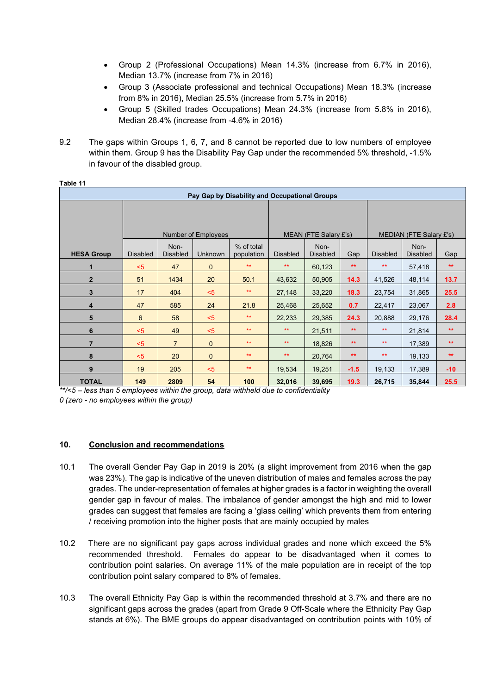- Group 2 (Professional Occupations) Mean 14.3% (increase from 6.7% in 2016), Median 13.7% (increase from 7% in 2016)
- Group 3 (Associate professional and technical Occupations) Mean 18.3% (increase from 8% in 2016), Median 25.5% (increase from 5.7% in 2016)
- Group 5 (Skilled trades Occupations) Mean 24.3% (increase from 5.8% in 2016), Median 28.4% (increase from -4.6% in 2016)
- 9.2 The gaps within Groups 1, 6, 7, and 8 cannot be reported due to low numbers of employee within them. Group 9 has the Disability Pay Gap under the recommended 5% threshold, -1.5% in favour of the disabled group.

| Pay Gap by Disability and Occupational Groups |                     |                         |             |                          |                       |                         |              |                         |                         |              |
|-----------------------------------------------|---------------------|-------------------------|-------------|--------------------------|-----------------------|-------------------------|--------------|-------------------------|-------------------------|--------------|
|                                               |                     |                         |             |                          |                       |                         |              |                         |                         |              |
|                                               |                     |                         |             |                          |                       |                         |              |                         |                         |              |
|                                               | Number of Employees |                         |             |                          | MEAN (FTE Salary £'s) |                         |              | MEDIAN (FTE Salary £'s) |                         |              |
| <b>HESA Group</b>                             | <b>Disabled</b>     | Non-<br><b>Disabled</b> | Unknown     | % of total<br>population | <b>Disabled</b>       | Non-<br><b>Disabled</b> | Gap          | <b>Disabled</b>         | Non-<br><b>Disabled</b> | Gap          |
| 1                                             | $5$                 | 47                      | $\mathbf 0$ | $**$                     | $**$                  | 60,123                  | $\star\star$ | $**$                    | 57,418                  | $\star\star$ |
| $\overline{2}$                                | 51                  | 1434                    | 20          | 50.1                     | 43,632                | 50,905                  | 14.3         | 41,526                  | 48,114                  | 13.7         |
| $\mathbf{3}$                                  | 17                  | 404                     | $5$         | $**$                     | 27,148                | 33,220                  | 18.3         | 23,754                  | 31,865                  | 25.5         |
| $\overline{\mathbf{4}}$                       | 47                  | 585                     | 24          | 21.8                     | 25,468                | 25,652                  | 0.7          | 22,417                  | 23,067                  | 2.8          |
| 5                                             | 6                   | 58                      | $5$         | $\star\star$             | 22,233                | 29,385                  | 24.3         | 20,888                  | 29,176                  | 28.4         |
| 6                                             | $5$                 | 49                      | $5$         | $**$                     | $**$                  | 21,511                  | $\star\star$ | $**$                    | 21,814                  | $\star\star$ |
| $\overline{7}$                                | $5$                 | $\overline{7}$          | $\mathbf 0$ | $**$                     | $**$                  | 18,826                  | $**$         | $**$                    | 17,389                  | $**$         |
| 8                                             | $5$                 | 20                      | $\mathbf 0$ | $**$                     | $\star\star$          | 20,764                  | $**$         | $**$                    | 19,133                  | $**$         |
| 9                                             | 19                  | 205                     | $5$         | $\star\star$             | 19,534                | 19,251                  | $-1.5$       | 19,133                  | 17,389                  | $-10$        |
| <b>TOTAL</b>                                  | 149                 | 2809                    | 54          | 100                      | 32,016                | 39,695                  | 19.3         | 26,715                  | 35,844                  | 25.5         |

*\*\*/<5 – less than 5 employees within the group, data withheld due to confidentiality 0 (zero - no employees within the group)* 

### **10. Conclusion and recommendations**

- 10.1 The overall Gender Pay Gap in 2019 is 20% (a slight improvement from 2016 when the gap was 23%). The gap is indicative of the uneven distribution of males and females across the pay grades. The under-representation of females at higher grades is a factor in weighting the overall gender gap in favour of males. The imbalance of gender amongst the high and mid to lower grades can suggest that females are facing a 'glass ceiling' which prevents them from entering / receiving promotion into the higher posts that are mainly occupied by males
- 10.2 There are no significant pay gaps across individual grades and none which exceed the 5% recommended threshold. Females do appear to be disadvantaged when it comes to contribution point salaries. On average 11% of the male population are in receipt of the top contribution point salary compared to 8% of females.
- 10.3 The overall Ethnicity Pay Gap is within the recommended threshold at 3.7% and there are no significant gaps across the grades (apart from Grade 9 Off-Scale where the Ethnicity Pay Gap stands at 6%). The BME groups do appear disadvantaged on contribution points with 10% of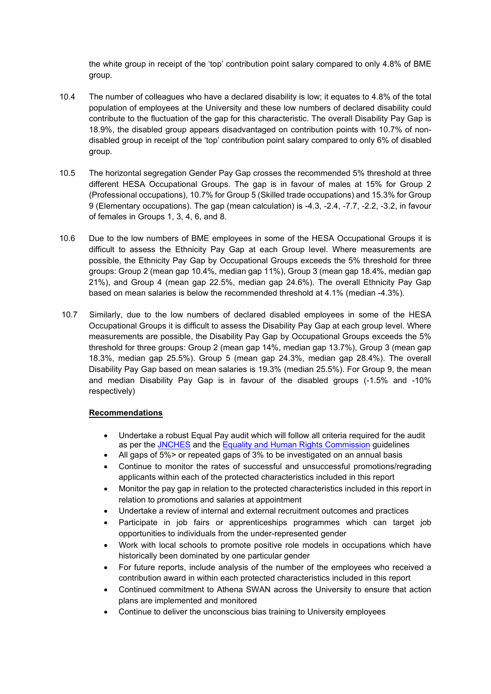the white group in receipt of the 'top' contribution point salary compared to only 4.8% of BME group.

- 10.4 The number of colleagues who have a declared disability is low; it equates to 4.8% of the total population of employees at the University and these low numbers of declared disability could contribute to the fluctuation of the gap for this characteristic. The overall Disability Pay Gap is 18.9%, the disabled group appears disadvantaged on contribution points with 10.7% of nondisabled group in receipt of the 'top' contribution point salary compared to only 6% of disabled group.
- 10.5 The horizontal segregation Gender Pay Gap crosses the recommended 5% threshold at three different HESA Occupational Groups. The gap is in favour of males at 15% for Group 2 (Professional occupations), 10.7% for Group 5 (Skilled trade occupations) and 15.3% for Group 9 (Elementary occupations). The gap (mean calculation) is -4.3, -2.4, -7.7, -2.2, -3.2, in favour of females in Groups 1, 3, 4, 6, and 8.
- 10.6 Due to the low numbers of BME employees in some of the HESA Occupational Groups it is difficult to assess the Ethnicity Pay Gap at each Group level. Where measurements are possible, the Ethnicity Pay Gap by Occupational Groups exceeds the 5% threshold for three groups: Group 2 (mean gap 10.4%, median gap 11%), Group 3 (mean gap 18.4%, median gap 21%), and Group 4 (mean gap 22.5%, median gap 24.6%). The overall Ethnicity Pay Gap based on mean salaries is below the recommended threshold at 4.1% (median -4.3%).
- 10.7 Similarly, due to the low numbers of declared disabled employees in some of the HESA Occupational Groups it is difficult to assess the Disability Pay Gap at each group level. Where measurements are possible, the Disability Pay Gap by Occupational Groups exceeds the 5% threshold for three groups: Group 2 (mean gap 14%, median gap 13.7%), Group 3 (mean gap 18.3%, median gap 25.5%). Group 5 (mean gap 24.3%, median gap 28.4%). The overall Disability Pay Gap based on mean salaries is 19.3% (median 25.5%). For Group 9, the mean and median Disability Pay Gap is in favour of the disabled groups (-1.5% and -10% respectively)

### **Recommendations**

- Undertake a robust Equal Pay audit which will follow all criteria required for the audit as per the [JNCHES](https://www.ucea.ac.uk/library/publications/EPR-and-GPG-Reporting-Guidance/) and the [Equality and Human Rights Commission](https://equalityhumanrights.com/en/multipage-guide/equal-pay-audit-larger-organisations) guidelines
- All gaps of 5%> or repeated gaps of 3% to be investigated on an annual basis
- Continue to monitor the rates of successful and unsuccessful promotions/regrading applicants within each of the protected characteristics included in this report
- Monitor the pay gap in relation to the protected characteristics included in this report in relation to promotions and salaries at appointment
- Undertake a review of internal and external recruitment outcomes and practices
- Participate in job fairs or apprenticeships programmes which can target job opportunities to individuals from the under-represented gender
- Work with local schools to promote positive role models in occupations which have historically been dominated by one particular gender
- For future reports, include analysis of the number of the employees who received a contribution award in within each protected characteristics included in this report
- Continued commitment to Athena SWAN across the University to ensure that action plans are implemented and monitored
- Continue to deliver the unconscious bias training to University employees